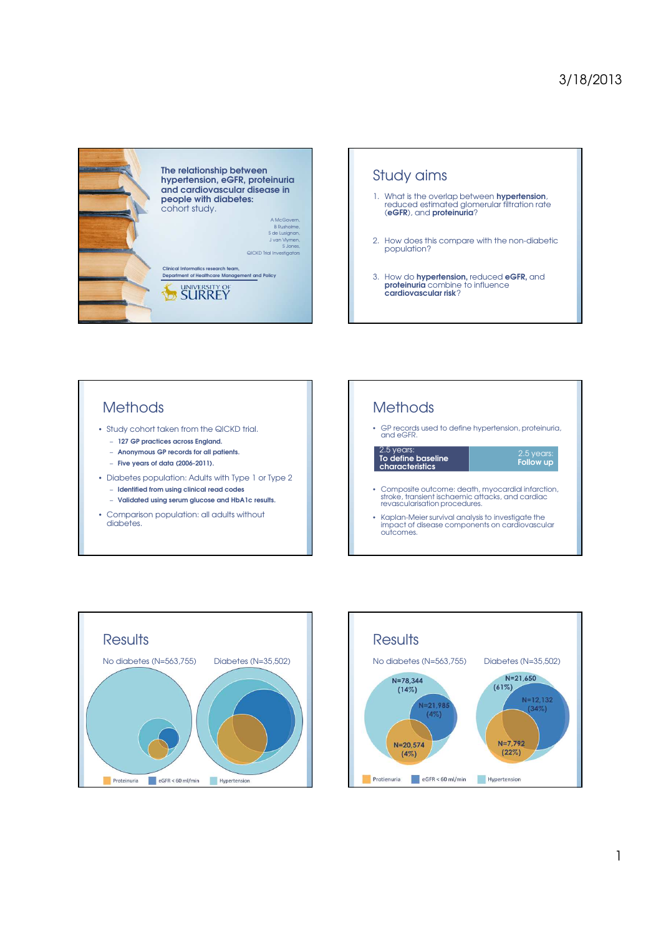



## **Methods**

- Study cohort taken from the QICKD trial.
	- 127 GP practices across England.
	- Anonymous GP records for all patients.
	- Five years of data (2006-2011).
- Diabetes population: Adults with Type 1 or Type 2 – Identified from using clinical read codes
	- Validated using serum glucose and HbA1c results.
- Comparison population: all adults without diabetes.

## **Methods**

• GP records used to define hypertension, proteinuria, and eGFR.

2.5 years:<br>**To define baseline** characteristics

2.5 years:<br>**Follow up** 

- Composite outcome: death, myocardial infarction, stroke, transient ischaemic attacks, and cardiac revascularisation procedures.
- Kaplan-Meier survival analysis to investigate the impact of disease components on cardiovascular outcomes.